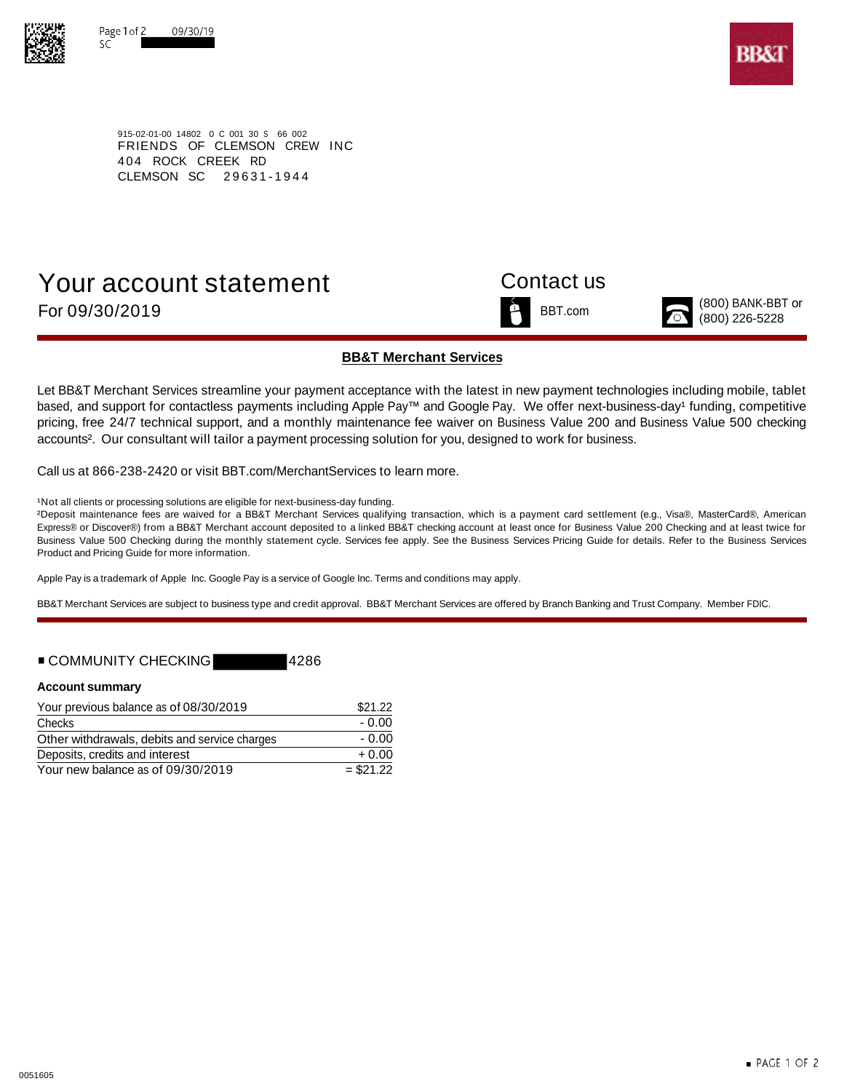



915-02-01-00 14802 0 C 001 30 S 66 002 FRIENDS OF CLEMSON CREW INC 404 ROCK CREEK RD CLEMSON SC 29631-1944

# Your account statement Contact us For  $09/30/2019$  BBT.com  $\sim$  For  $\frac{800}{1000}$  BANK-BBT or  $\sim$   $(800)$  BANK-BBT or



### **BB&T Merchant Services**

Let BB&T Merchant Services streamline your payment acceptance with the latest in new payment technologies including mobile, tablet based, and support for contactless payments including Apple Pay™ and Google Pay. We offer next-business-day<sup>1</sup> funding, competitive pricing, free 24/7 technical support, and a monthly maintenance fee waiver on Business Value 200 and Business Value 500 checking accounts<sup>2</sup>. Our consultant will tailor a payment processing solution for you, designed to work for business.

Call us at 866-238-2420 or visit BBT.com/MerchantServices to learn more.

<sup>1</sup>Not all clients or processing solutions are eligible for next-business-day funding.

²Deposit maintenance fees are waived for a BB&T Merchant Services qualifying transaction, which is a payment card settlement (e.g., Visa®, MasterCard®, American Express® or Discover®) from a BB&T Merchant account deposited to a linked BB&T checking account at least once for Business Value 200 Checking and at least twice for Business Value 500 Checking during the monthly statement cycle. Services fee apply. See the Business Services Pricing Guide for details. Refer to the Business Services Product and Pricing Guide for more information.

Apple Pay is a trademark of Apple Inc. Google Pay is a service of Google Inc. Terms and conditions may apply.

BB&T Merchant Services are subject to business type and credit approval. BB&T Merchant Services are offered by Branch Banking and Trust Company. Member FDIC.

## ■ COMMUNITY CHECKING 4286

### **Account summary**

| Your previous balance as of 08/30/2019        | \$21.22    |  |
|-----------------------------------------------|------------|--|
| Checks                                        | - 0.00     |  |
| Other withdrawals, debits and service charges | - 0.00     |  |
| Deposits, credits and interest                | $+0.00$    |  |
| Your new balance as of 09/30/2019             | $= $21.22$ |  |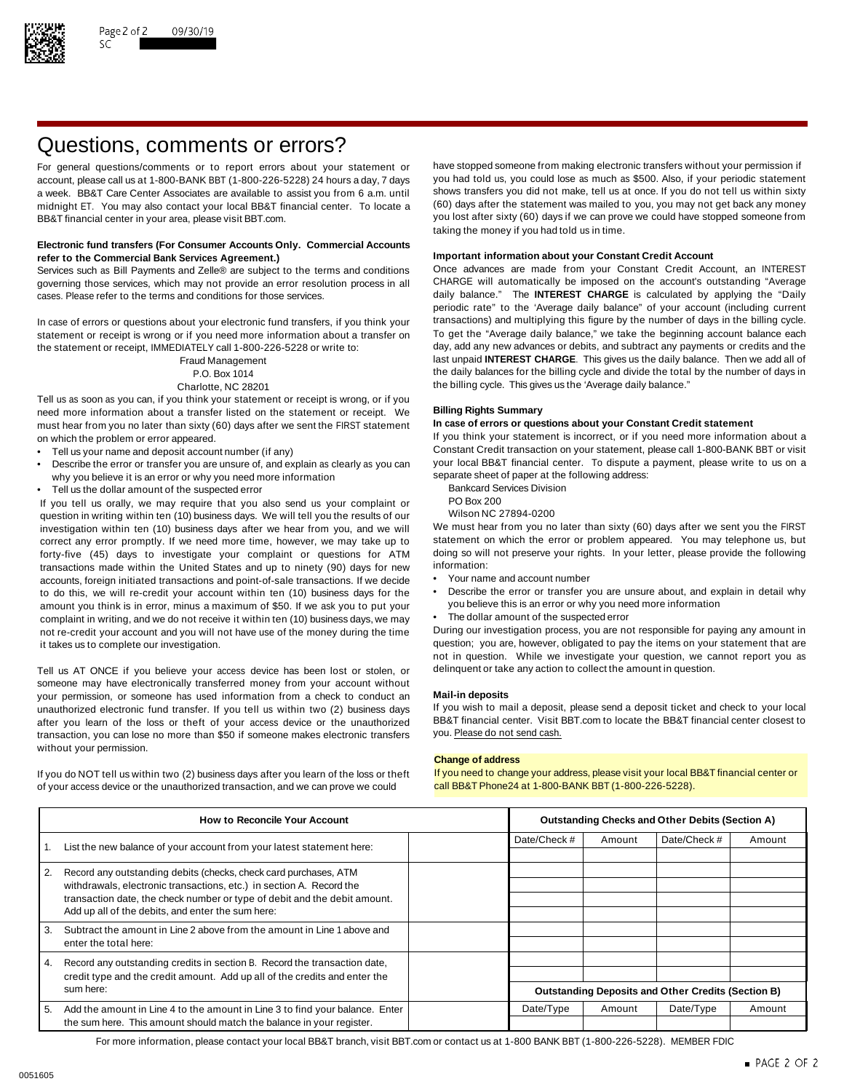

# Questions, comments or errors?

account, please call us at 1-800-BANK BBT (1-800-226-5228) 24 hours a day, 7 days midnight ET. You may also contact your local BB&T financial center. To locate a BB&T financial center in your area, please visit BBT.com. The state of the state of the state of the state of the state of the state of the state of the state of the state of the state of the state of the state of the stat

### **Electronic fund transfers (For Consumer Accounts Only. Commercial Accounts Important information about your Constant Credit Account refer to the Commercial Bank Services Agreement.)**

governing those services, which may not provide an error resolution process in all CHARGE will automatically be imposed on the account's outstanding "Average cases. Please refer to the terms and conditions for those services. daily balance." The **INTEREST CHARGE** is calculated by applying the "Daily

statement or receipt is wrong or if you need more information about a transfer on To get the "Average daily balance," we take the beginning account balance each<br>the statement or receipt IMMFDIATFLY call 1-800-226-5228 or w the statement or receipt, IMMEDIATELY call 1-800-226-5228 or write to:

Tell us as soon as you can, if you think your statement or receipt is wrong, or if you need more information about a transfer listed on the statement or receipt. We **Billing Rights Summary** must hear from you no later than sixty (60) days after we sent the FIRST statement on which the problem or error appeared. If you think your statement is incorrect, or if you need more information about a

- 
- Describe the error or transfer you are unsure of, and explain as clearly as you can your local BB&T financial center. To dispute a why you believe it is an error or why you need more information why you believe it is an error or why you need more information<br>Tell us the dollar amount of the suspected error and the following address Division
- Fell us the dollar amount of the suspected error<br>Vou tell us orally we may require that you also send us your complaint or BO Box 200

If you tell us orally, we may require that you also send us your complaint or PO Box 200<br>question in writing within ten (10) business days. We will tell you the results of our Wilson NC 27894-0200 question in writing within ten (10) business days. We will tell you the results of our Wilson NC 27894-0200<br>investigation within ten (10) business days after we hear from you, and we will We must hear from you no later tha investigation within ten (10) business days after we hear from you, and we will We must hear from you no later than sixty (60) days after we sent you the FIRST<br>correct any error promptly. If we need more time, however, we correct any error promptly. If we need more time, however, we may take up to statement on which the error or problem appeared. You may telephone us, but If or the endlowing to the more time, however, we may take up to the forty-five (45) days to investigate your complaint or questions for ATM doing so will<br>transactions made within the United States and up to pinety (90) days for new information: transactions made within the United States and up to ninety (90) days for new information:<br>accounts foreign initiated transactions and point-of-sale transactions. If we decide • Your name and account number accounts, foreign initiated transactions and point-of-sale transactions. If we decide amount you think is in error, minus a maximum of \$50. If we ask you to put your complaint in writing, and we do not receive it within ten (10) business days, we may • The dollar amount of the suspected error not re-credit your account and you will not have use of the money during the time During our investigation process, you are not responsible for paying any amount in

Tell us AT ONCE if you believe your access device has been lost or stolen, or delinquent or take any action to collect the amount in question. someone may have electronically transferred money from your account without your permission, or someone has used information from a check to conduct an **Mail-in deposits** unauthorized electronic fund transfer. If you tell us within two (2) business days If you wish to mail a deposit, please send a deposit ticket and check to your local after vou learn of the loss or theft of your access dev after you learn of the loss or theft of your access device or the unauthorized BB&T financial center. Visit l<br>transaction, you can lose no more than \$50 if someone makes electronic transfers you. Please do not send cash. transaction, you can lose no more than \$50 if someone makes electronic transfers without your permission.

of your access device or the unauthorized transaction, and we can prove we could call BB&T Phone24 at 1-800-BANK BBT (1-800-226-5228).

For general questions/comments or to report errors about your statement or have stopped someone from making electronic transfers without your permission if account please call us at 1-800-BANK BBT (1-800-226-5228) 24 hours a week. BB&T Care Center Associates are available to assist you from 6 a.m. until shows transfers you did not make, tell us at once. If you do not tell us within sixty<br>midnight FT You may also contact your local BB&T finan taking the money if you had told us in time.

Services such as Bill Payments and Zelle® are subject to the terms and conditions Once advances are made from your Constant Credit Account, an INTEREST periodic rate" to the 'Average daily balance" of your account (including current In case of errors or questions about your electronic fund transfers, if you think your transactions) and multiplying this figure by the number of days in the billing cycle.<br>Statement or receipt is wrong or if you need more Fraud Management last unpaid **INTEREST CHARGE**. This gives us the daily balance. Then we add all of P.O. Box 1014 the daily balances for the billing cycle and divide the total by the number of days in Charlotte, NC 28201 **the billing cycle.** This gives us the 'Average daily balance."

Tell us your name and deposit account number (if any)<br>Constant Credit transaction on your statement, please call 1-800-BANK BBT or visit • Constant Credit transaction on your statement, please call 1-800-BANK BBT or visit

- 
- 
- 

- 
- to do this, we will re-credit your account within ten (10) business days for the Describe the error or transfer you are unsure about, and explain in detail why<br>amount you think is in error, minus a maximum of \$50. If we
	-

it takes us to complete our investigation. The statement of the statement that are question; you are, however, obligated to pay the items on your statement that are not in question. While we investigate your question, we cannot report you as

### **Change of address**

If you do NOT tell us within two (2) business days after you learn of the loss or theft If you need to change your address, please visit your local BB&T financial center or

| <b>How to Reconcile Your Account</b> |                                                                                                                                                                                                        | <b>Outstanding Checks and Other Debits (Section A)</b> |                                                           |              |           |        |
|--------------------------------------|--------------------------------------------------------------------------------------------------------------------------------------------------------------------------------------------------------|--------------------------------------------------------|-----------------------------------------------------------|--------------|-----------|--------|
|                                      | List the new balance of your account from your latest statement here:                                                                                                                                  | Date/Check #                                           | Amount                                                    | Date/Check # | Amount    |        |
|                                      |                                                                                                                                                                                                        |                                                        |                                                           |              |           |        |
| 2.                                   | Record any outstanding debits (checks, check card purchases, ATM                                                                                                                                       |                                                        |                                                           |              |           |        |
|                                      | withdrawals, electronic transactions, etc.) in section A. Record the<br>transaction date, the check number or type of debit and the debit amount.<br>Add up all of the debits, and enter the sum here: |                                                        |                                                           |              |           |        |
|                                      |                                                                                                                                                                                                        |                                                        |                                                           |              |           |        |
|                                      |                                                                                                                                                                                                        |                                                        |                                                           |              |           |        |
| 3.                                   | Subtract the amount in Line 2 above from the amount in Line 1 above and                                                                                                                                |                                                        |                                                           |              |           |        |
|                                      | enter the total here:                                                                                                                                                                                  |                                                        |                                                           |              |           |        |
| 4.                                   | Record any outstanding credits in section B. Record the transaction date,                                                                                                                              |                                                        |                                                           |              |           |        |
|                                      | credit type and the credit amount. Add up all of the credits and enter the<br>sum here:                                                                                                                |                                                        |                                                           |              |           |        |
|                                      |                                                                                                                                                                                                        |                                                        | <b>Outstanding Deposits and Other Credits (Section B)</b> |              |           |        |
| 5.                                   | Add the amount in Line 4 to the amount in Line 3 to find your balance. Enter                                                                                                                           |                                                        | Date/Type                                                 | Amount       | Date/Type | Amount |
|                                      | the sum here. This amount should match the balance in your register.                                                                                                                                   |                                                        |                                                           |              |           |        |

For more information, please contact your local BB&T branch, visit BBT.com or contact us at 1-800 BANK BBT (1-800-226-5228). MEMBER FDIC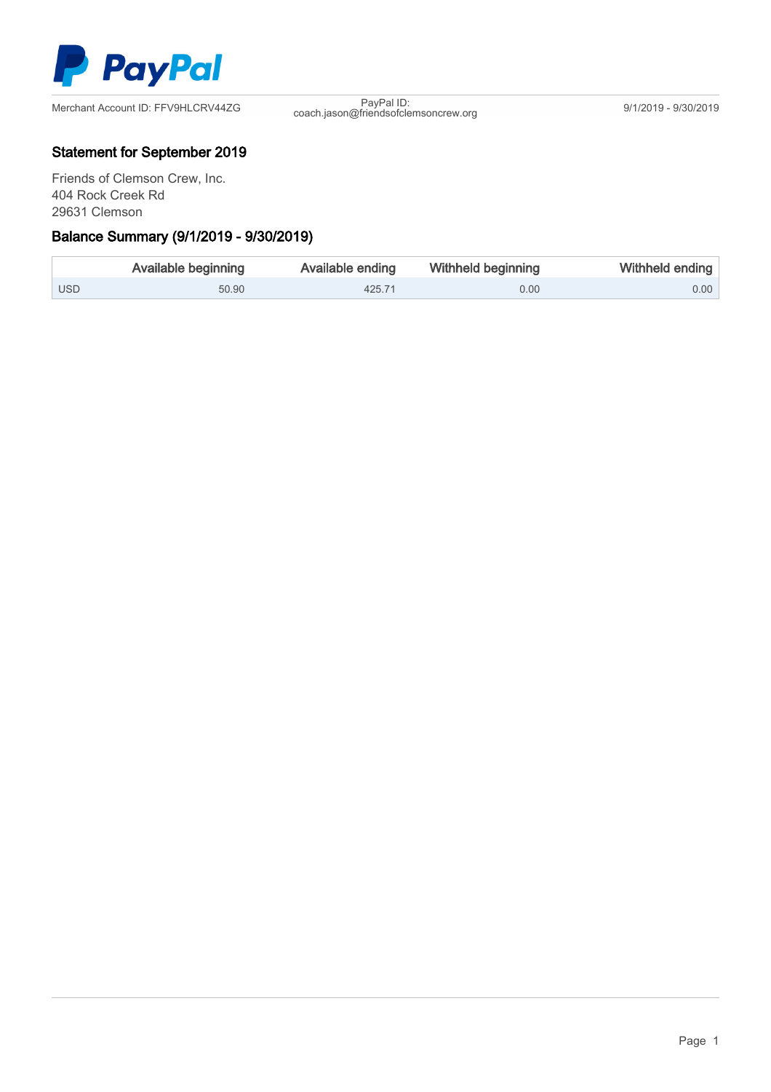

coach.jason@friendsofclemsoncrew.org 9/1/2019 - 9/30/2019

## Statement for September 2019

Friends of Clemson Crew, Inc. 404 Rock Creek Rd 29631 Clemson Ξ

# Balance Summary (9/1/2019 - 9/30/2019)

|            | Available beginning | Available ending | Withheld beginning | Withheld ending |
|------------|---------------------|------------------|--------------------|-----------------|
| <b>USD</b> | 50.90               | 425.71           | 0.00               | $0.00$          |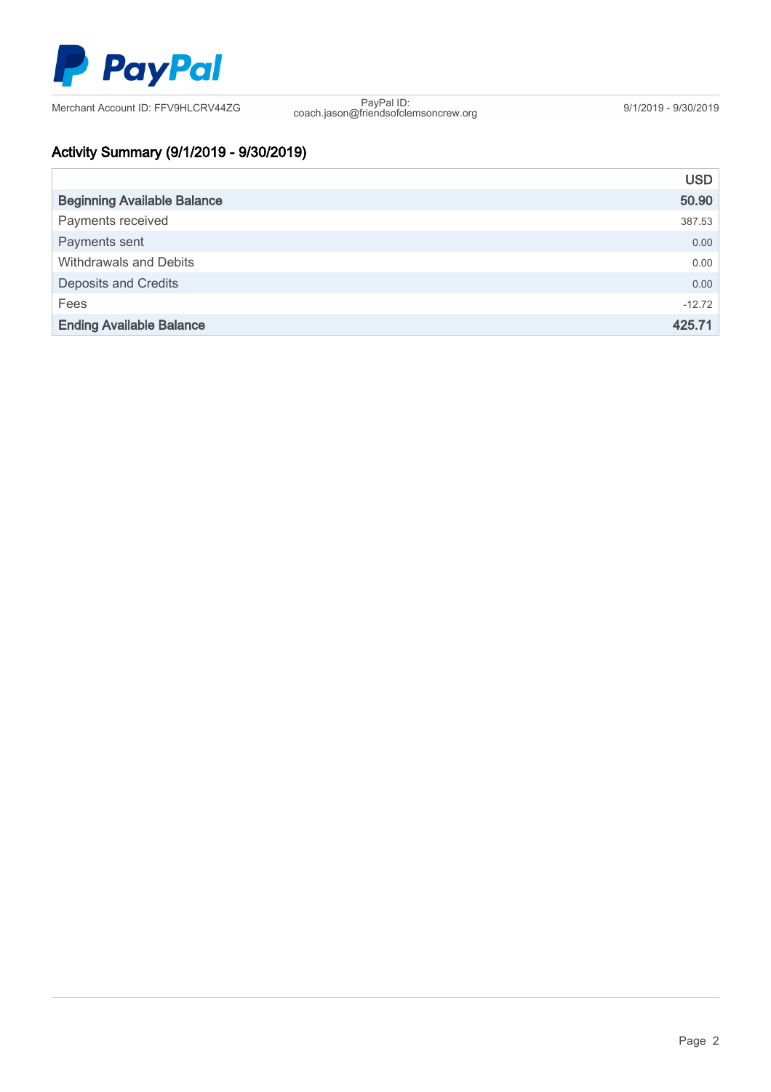

coach.jason@friendsofclemsoncrew.org 9/1/2019 - 9/30/2019

# Activity Summary (9/1/2019 - 9/30/2019)

|                                    | <b>USD</b> |
|------------------------------------|------------|
| <b>Beginning Available Balance</b> | 50.90      |
| Payments received                  | 387.53     |
| Payments sent                      | 0.00       |
| <b>Withdrawals and Debits</b>      | 0.00       |
| <b>Deposits and Credits</b>        | 0.00       |
| Fees                               | $-12.72$   |
| <b>Ending Available Balance</b>    | 425.71     |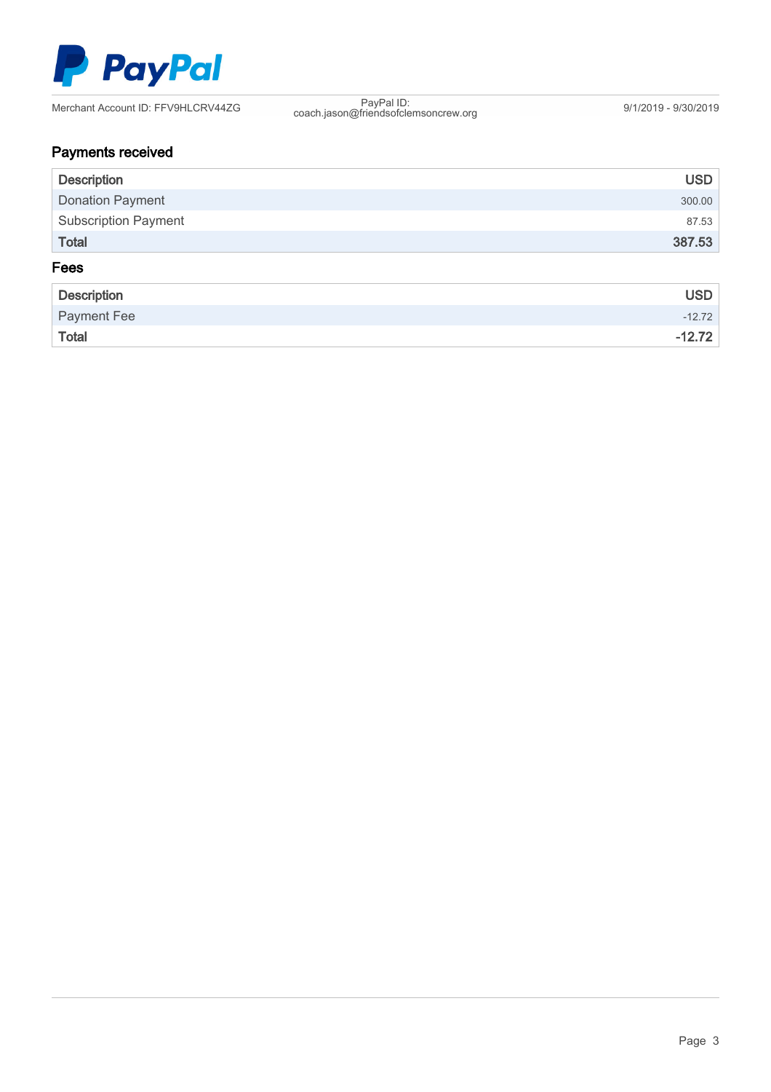

coach.jason@friendsofclemsoncrew.org 9/1/2019 - 9/30/2019

# Payments received

| <b>Description</b>          | <b>USD</b> |  |  |
|-----------------------------|------------|--|--|
| <b>Donation Payment</b>     | 300.00     |  |  |
| <b>Subscription Payment</b> | 87.53      |  |  |
| Total                       | 387.53     |  |  |
| Fees                        |            |  |  |

| Description  | <b>USD</b> |
|--------------|------------|
| Payment Fee  | $-12.72$   |
| <b>Total</b> | $-12.72$   |